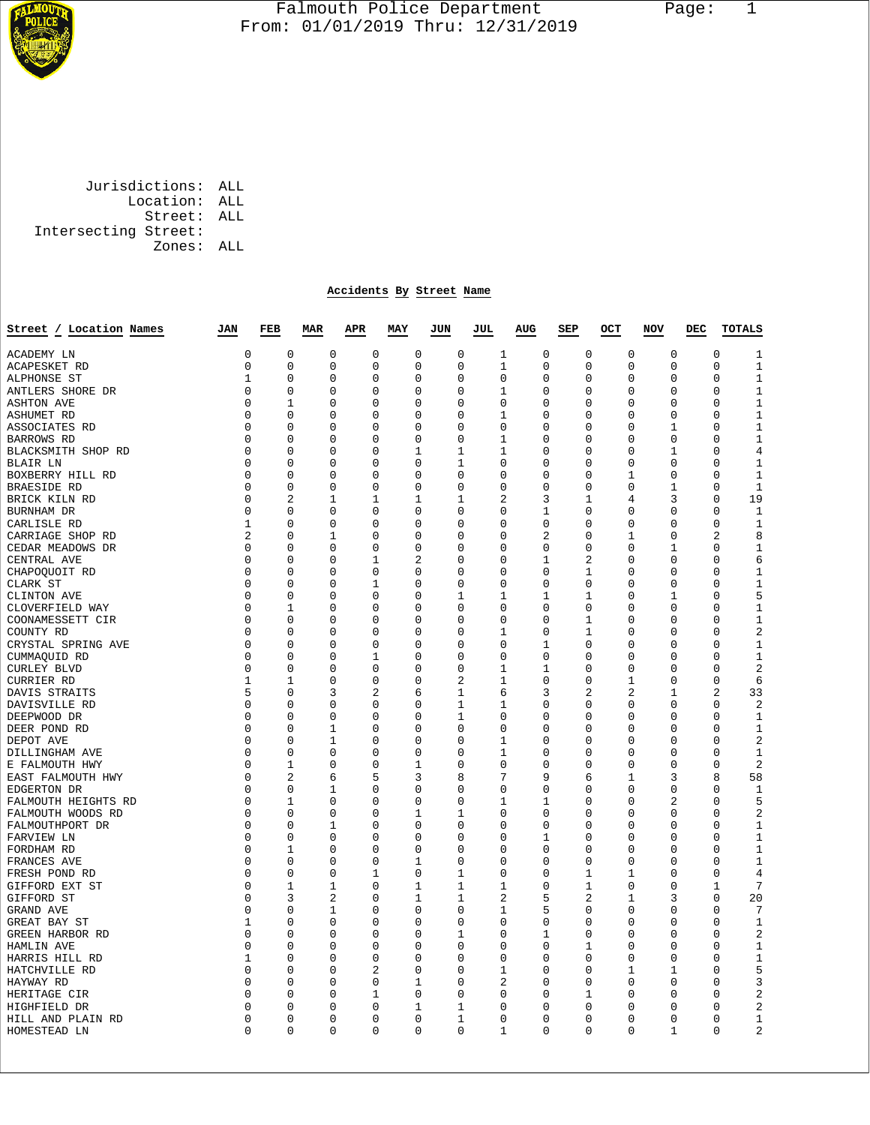

## Falmouth Police Department Page: 1  $\frac{1}{3}$  From: 01/01/2019 Thru: 12/31/2019

 Jurisdictions: ALL Location: ALL Street: ALL Intersecting Street: Zones: ALL

## **Accidents By Street Name**

| Street / Location Names | JAN         | FEB          | <b>MAR</b> | APR          | MAY          | JUN          | JUL                 | AUG            | SEP          | OCT         | <b>NOV</b>  | DEC | <b>TOTALS</b>                 |
|-------------------------|-------------|--------------|------------|--------------|--------------|--------------|---------------------|----------------|--------------|-------------|-------------|-----|-------------------------------|
| ACADEMY LN              | 0           | $\mathbf 0$  | 0          | $\mathbf 0$  | $\mathbf 0$  | 0            | 1                   | 0              | $\mathbf 0$  | $\mathbf 0$ | $\mathbf 0$ |     | $\mathbf 0$<br>$\mathbf 1$    |
| ACAPESKET RD            | 0           | 0            | 0          | 0            | 0            | 0            | 1                   | 0              | 0            | 0           | 0           |     | $\mathbf{1}$<br>0             |
| ALPHONSE ST             | 1           | 0            | 0          | 0            | 0            | 0            | 0                   | 0              | 0            | 0           | 0           |     | $\mathbf{1}$<br>0             |
| ANTLERS SHORE DR        | 0           | $\Omega$     | $\Omega$   | $\Omega$     | $\Omega$     | 0            | $\mathbf{1}$        | $\Omega$       | 0            | $\Omega$    | $\Omega$    |     | $\mathbf{1}$<br>$\Omega$      |
| <b>ASHTON AVE</b>       | 0           | 1            | 0          | 0            | 0            | 0            | 0                   | 0              | 0            | 0           | 0           |     | $1\,$<br>0                    |
| ASHUMET RD              | $\Omega$    | $\Omega$     | 0          | $\Omega$     | $\Omega$     | $\Omega$     | 1                   | $\Omega$       | 0            | $\Omega$    | $\Omega$    |     | $1\,$<br>$\Omega$             |
| ASSOCIATES RD           | $\Omega$    | $\Omega$     | 0          | 0            | $\mathbf 0$  | 0            | $\mathbf 0$         | 0              | 0            | 0           | 1           |     | $\mathbf{1}$<br>$\Omega$      |
| BARROWS RD              | 0           | $\Omega$     | 0          | $\Omega$     | $\Omega$     | 0            | 1                   | $\Omega$       | 0            | $\Omega$    | $\Omega$    |     | $\Omega$<br>1                 |
| BLACKSMITH SHOP RD      | 0           | 0            | 0          | 0            | $\mathbf{1}$ | 1            | $\mathbf 1$         | 0              | 0            | 0           | 1           |     | $\overline{4}$<br>0           |
| BLAIR LN                | 0           | 0            | 0          | 0            | 0            | 1            | 0                   | 0              | 0            | 0           | 0           |     | $\mathbf{1}$<br>0             |
| BOXBERRY HILL RD        | 0           | $\Omega$     | 0          | 0            | $\mathbf 0$  | 0            | 0                   | 0              | 0            | 1           | $\mathbf 0$ |     | $\mathbf{1}$<br>0             |
| BRAESIDE RD             | 0           | 0            | 0          | 0            | 0            | $\Omega$     | 0                   | 0              | 0            | 0           | 1           |     | $\mathbf 1$<br>0              |
| BRICK KILN RD           | 0           | 2            | 1          | 1            | 1            | 1            | 2                   | 3              | 1            | 4           | 3           |     | 0<br>19                       |
| BURNHAM DR              | 0           | 0            | 0          | 0            | 0            | 0            | 0                   | 1              | 0            | 0           | 0           |     | 0<br>1                        |
| CARLISLE RD             | 1           | 0            | 0          | 0            | 0            | $\Omega$     | 0                   | 0              | 0            | 0           | 0           |     | $\mathbf{1}$<br>0             |
| CARRIAGE SHOP RD        | 2           | $\mathbf 0$  | 1          | 0            | $\mathbf 0$  | 0            | $\mathbf 0$         | $\overline{a}$ | 0            | 1           | $\mathbf 0$ |     | 2<br>8                        |
| CEDAR MEADOWS DR        | 0           | 0            | 0          | 0            | 0            | 0            | 0                   | 0              | 0            | 0           | 1           |     | 0<br>1                        |
| CENTRAL AVE             | 0           | $\mathbf 0$  | 0          | $\mathbf{1}$ | 2            | 0            | $\mathbf 0$         | $\mathbf{1}$   | 2            | $\mathbf 0$ | $\mathbf 0$ |     | $\mathbf 0$<br>6              |
| CHAPOQUOIT RD           | 0           | 0            | 0          | 0            | 0            | 0            | 0                   | 0              | 1            | 0           | 0           |     | $\mathbf 1$<br>0              |
| CLARK ST                | 0           | $\mathbf 0$  | 0          | 1            | $\mathbf 0$  | 0            | $\mathbf 0$         | $\Omega$       | 0            | 0           | $\mathbf 0$ |     | 1<br>0                        |
| CLINTON AVE             | 0           | 0            | 0          | 0            | 0            | 1            | 1                   | 1              | 1            | 0           | $\mathbf 1$ |     | 5<br>0                        |
| CLOVERFIELD WAY         | 0           | $\mathbf{1}$ | 0          | 0            | $\mathbf 0$  | 0            | $\mathbf 0$         | $\mathbf 0$    | 0            | 0           | $\mathbf 0$ |     | $\mathbf 0$<br>$\mathbf 1$    |
| COONAMESSETT CIR        | 0           | 0            | 0          | 0            | 0            | 0            | 0                   | 0              | 1            | 0           | 0           |     | $\mathbf 1$<br>0              |
| COUNTY RD               | 0           | $\mathbf 0$  | 0          | 0            | $\mathbf 0$  | 0            | 1                   | $\mathbf 0$    | $\mathbf{1}$ | 0           | $\mathbf 0$ |     | $\overline{c}$<br>$\mathbf 0$ |
| CRYSTAL SPRING AVE      | 0           | 0            | 0          | 0            | $\mathbf 0$  | 0            | 0                   | 1              | 0            | 0           | 0           |     | $\mathbf{1}$<br>0             |
| CUMMAQUID RD            | 0           | $\mathbf 0$  | 0          | 1            | $\mathbf 0$  | 0            | $\mathbf 0$         | $\mathbf 0$    | 0            | 0           | $\mathbf 0$ |     | $\mathbf 1$<br>0              |
| <b>CURLEY BLVD</b>      | 0           | 0            | 0          | 0            | 0            | 0            | 1                   | 1              | 0            | 0           | 0           |     | $\overline{2}$<br>0           |
| <b>CURRIER RD</b>       | 1           | 1            | 0          | 0            | 0            | 2            | 1                   | 0              | 0            | 1           | 0           |     | 6<br>$\Omega$                 |
| DAVIS STRAITS           | 5           | 0            | 3          | 2            | 6            | 1            | 6                   | 3              | 2            | 2           | 1           |     | 2<br>33                       |
| DAVISVILLE RD           | 0           | 0            | 0          | 0            | 0            | 1            | 1                   | 0              | 0            | 0           | 0           |     | $\overline{2}$<br>$\Omega$    |
| DEEPWOOD DR             | 0           | 0            | 0          | 0            | 0            | 1            | 0                   | 0              | 0            | 0           | 0           |     | $\mathbf{1}$<br>0             |
| DEER POND RD            | 0           | $\Omega$     | 1          | 0            | 0            | $\Omega$     | 0                   | 0              | 0            | 0           | 0           |     | $\Omega$<br>1                 |
| DEPOT AVE               | 0           | 0            | 1          | 0            | 0            | 0            | 1                   | 0              | 0            | 0           | 0           |     | $\overline{2}$<br>0           |
| DILLINGHAM AVE          | $\Omega$    | $\Omega$     | $\Omega$   | $\Omega$     | $\Omega$     | 0            | 1                   | $\Omega$       | 0            | $\Omega$    | $\Omega$    |     | $\Omega$<br>1                 |
| E FALMOUTH HWY          | 0           | 1            | 0          | 0            | 1            | 0            | 0                   | 0              | 0            | 0           | 0           |     | $\overline{2}$<br>0           |
| EAST FALMOUTH HWY       | $\Omega$    | 2            | 6          | 5            | 3            | 8            | 7                   | 9              | 6            | 1           | 3           |     | 58<br>8                       |
| EDGERTON DR             | $\Omega$    | $\mathbf 0$  | 1          | 0            | $\mathbf 0$  | 0            | 0                   | $\mathbf 0$    | 0            | 0           | $\mathbf 0$ |     | $\mathbf{1}$<br>$\Omega$      |
| FALMOUTH HEIGHTS RD     | $\Omega$    | $\mathbf{1}$ | $\Omega$   | $\Omega$     | $\Omega$     | $\Omega$     | $\mathbf{1}$        | 1              | 0            | $\Omega$    | 2           |     | 5<br>$\Omega$                 |
| FALMOUTH WOODS RD       | $\Omega$    | $\Omega$     | 0          | $\Omega$     | 1            | 1            | $\Omega$            | $\Omega$       | 0            | 0           | 0           |     | $\overline{2}$<br>$\Omega$    |
| FALMOUTHPORT DR         | 0           | 0            | 1          | 0            | $\mathbf 0$  | 0            | 0                   | 0              | 0            | 0           | 0           |     | $1\,$<br>0                    |
| FARVIEW LN              | 0           | $\Omega$     | 0          | 0            | $\mathbf 0$  | 0            | $\mathbf 0$         | 1              | 0            | $\Omega$    | $\mathbf 0$ |     | $\Omega$<br>$\mathbf{1}$      |
| FORDHAM RD              | 0           | 1            | 0          | 0            | 0            | 0            | 0                   | 0              | 0            | 0           | 0           |     | $1\,$<br>0                    |
| FRANCES AVE             | 0           | $\Omega$     | $\Omega$   | 0            | 1            | $\Omega$     | $\Omega$            | $\Omega$       | 0            | $\Omega$    | 0           |     | $\mathbf 1$<br>$\Omega$       |
| FRESH POND RD           | 0           | 0            | 0          | 1            | 0            | 1            | 0                   | 0              | 1            | 1           | 0           |     | $\overline{4}$<br>0           |
| GIFFORD EXT ST          | 0           | 1            | 1          | 0            | 1            | 1            | 1                   | 0              | 1            | 0           | 0           |     | 7<br>1                        |
| GIFFORD ST              | 0           | 3            | 2          | 0            | 1            | 1            | 2                   | 5              | 2            | 1           | 3           |     | $\mathbf 0$<br>20             |
| GRAND AVE               | 0           | $\Omega$     | 1          | 0            | 0            | $\Omega$     | 1                   | 5              | 0            | $\Omega$    | 0           |     | $\Omega$<br>7                 |
| GREAT BAY ST            | $\mathbf 1$ | $\mathbf 0$  | 0          | 0            | $\mathbf 0$  | 0            | $\mathsf 0$         | 0              | 0            | 0           | 0           |     | $\mathbf 0$<br>$\mathbf{1}$   |
| GREEN HARBOR RD         | 0           | $\Omega$     | 0          | 0            | $\mathbf 0$  | 1            | 0                   | 1              | 0            | 0           | $\mathbf 0$ |     | $\Omega$<br>2                 |
| HAMLIN AVE              | 0           | $\mathbf 0$  | 0          | 0            | 0            | 0            | 0                   | $\mathbf 0$    | 1            | 0           | $\mathbf 0$ |     | $\mathbf{1}$<br>0             |
| HARRIS HILL RD          | 1           | $\Omega$     | 0          | 0            | 0            | $\Omega$     | $\mathsf{O}\xspace$ | $\Omega$       | 0            | 0           | 0           |     | $\mathbf 1$<br>$\Omega$       |
| HATCHVILLE RD           | 0           | $\mathbf 0$  | 0          | 2            | $\mathbf 0$  | 0            | $\mathbf{1}$        | $\mathbf 0$    | 0            | 1           | $\mathbf 1$ |     | 5<br>$\mathbf 0$              |
| HAYWAY RD               | 0           | $\Omega$     | 0          | 0            | 1            | 0            | 2                   | 0              | 0            | 0           | 0           |     | 3<br>$\Omega$                 |
| HERITAGE CIR            | 0           | $\mathbf 0$  | 0          | 1            | 0            | 0            | $\mathbf 0$         | 0              | 1            | 0           | $\mathbf 0$ |     | 2<br>0                        |
| HIGHFIELD DR            | 0           | 0            | 0          | 0            | 1            | 1            | 0                   | $\mathbf 0$    | 0            | 0           | 0           |     | $\overline{2}$<br>0           |
| HILL AND PLAIN RD       | 0           | $\mathbf 0$  | 0          | 0            | 0            | $\mathbf{1}$ | $\mathbf 0$         | $\mathbf 0$    | 0            | 0           | $\mathbf 0$ |     | $\mathbf 0$<br>$\mathbf 1$    |
| HOMESTEAD LN            | 0           | $\mathbf 0$  | 0          | 0            | 0            | 0            | 1                   | 0              | 0            | 0           | $\mathbf 1$ |     | 2<br>0                        |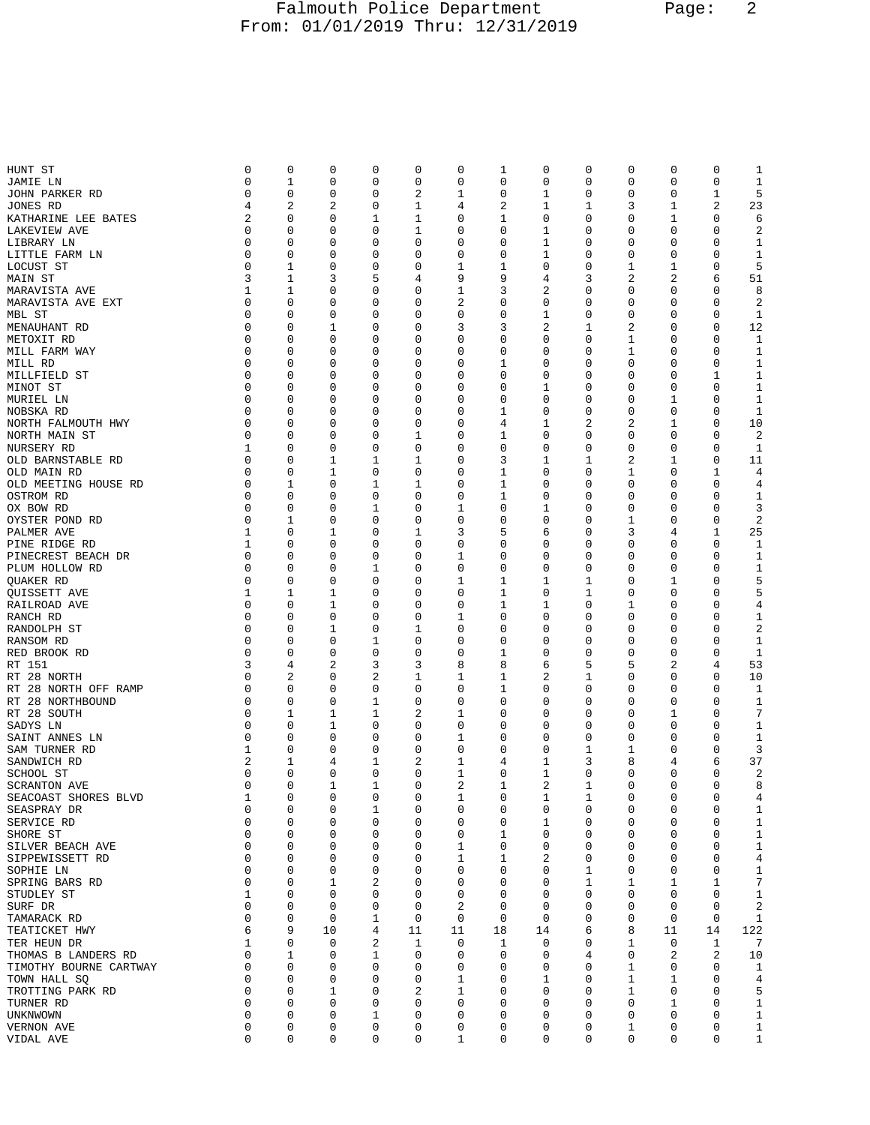## Falmouth Police Department Page: 2 From: 01/01/2019 Thru: 12/31/2019

| HUNT ST                | 0        | 0           | 0           | 0           | 0           | 0           | 1            | 0              | 0 | 0           | 0  | 0        | 1                 |
|------------------------|----------|-------------|-------------|-------------|-------------|-------------|--------------|----------------|---|-------------|----|----------|-------------------|
| JAMIE LN               | 0        | 1           | 0           | 0           | 0           | 0           | 0            | 0              | 0 | 0           | 0  | 0        | $\mathbf 1$       |
| JOHN PARKER RD         | 0        | 0           | 0           | 0           | 2           | 1           | 0            | 1              | 0 | 0           | 0  | 1        | 5                 |
| JONES RD               | 4        | 2           | 2           | 0           | 1           | 4           | 2            | 1              | 1 | 3           | 1  | 2        | 23                |
| KATHARINE LEE BATES    | 2        | 0           | 0           | 1           | 1           | 0           | 1            | 0              | 0 | 0           | 1  | 0        | 6                 |
| LAKEVIEW AVE           | 0        | 0           | 0           | 0           | 1           | 0           | 0            | 1              | 0 | 0           | 0  | 0        | $\overline{2}$    |
| LIBRARY LN             | 0        | 0           | 0           | 0           | 0           | 0           | 0            | 1              | 0 | 0           | 0  | 0        | 1                 |
| LITTLE FARM LN         | 0        | 0           | 0           | 0           | 0           | 0           | 0            | 1              | 0 | 0           | 0  | 0        | 1                 |
| LOCUST ST              | 0        | 1           | 0           | 0           | 0           | 1           | 1            | 0              | 0 | 1           | 1  | 0        | 5                 |
| MAIN ST                | 3        | 1           | 3           | 5           | 4           | 9           | 9            | 4              | 3 | 2           | 2  | 6        | 51                |
| MARAVISTA AVE          | 1        | 1           | 0           | 0           | 0           | 1           | 3            | 2              | 0 | 0           | 0  | 0        | 8                 |
| MARAVISTA AVE EXT      | 0        | 0           | 0           | 0           | 0           | 2           | 0            | 0              | 0 | 0           | 0  | 0        | 2                 |
| MBL ST                 | 0        | 0           | 0           | 0           | 0           | 0           | 0            | 1              | 0 | 0           | 0  | 0        | 1                 |
| MENAUHANT RD           | 0        | 0           | 1           | 0           | 0           | 3           | 3            | 2              | 1 | 2           | 0  | 0        | 12                |
| METOXIT RD             | 0        | 0           | 0           | 0           | 0           | 0           | 0            | 0              | 0 | 1           | 0  | 0        | 1                 |
| MILL FARM WAY          | 0        | 0           | 0           | 0           | 0           | 0           | 0            | 0              | 0 | 1           | 0  | 0        | $\mathbf 1$       |
|                        | 0        | 0           | 0           | 0           | 0           | 0           | 1            | 0              | 0 | 0           | 0  | 0        | 1                 |
| MILL RD                | 0        | 0           |             |             |             |             |              |                | 0 |             | 0  |          |                   |
| MILLFIELD ST           | 0        | 0           | 0<br>0      | 0           | 0<br>0      | 0<br>0      | 0<br>0       | 0<br>1         | 0 | 0<br>0      | 0  | 1<br>0   | $\mathbf 1$       |
| MINOT ST               | 0        | 0           |             | 0           |             |             |              |                | 0 |             |    |          | 1<br>$\mathbf{1}$ |
| MURIEL LN              | $\Omega$ |             | 0           | 0           | 0           | 0           | 0            | 0              |   | 0           | 1  | 0        |                   |
| NOBSKA RD              | 0        | 0<br>0      | 0           | 0           | 0           | 0           | 1            | 0              | 0 | 0           | 0  | 0        | 1                 |
| NORTH FALMOUTH HWY     |          |             | 0           | 0           | 0           | 0           | 4            | 1              | 2 | 2           | 1  | 0        | 10                |
| NORTH MAIN ST          | 0        | 0           | 0           | 0           | 1           | 0           | 1            | 0              | 0 | 0           | 0  | 0        | 2                 |
| NURSERY RD             | 1        | 0           | 0           | 0           | 0           | 0           | 0            | 0              | 0 | 0           | 0  | 0        | 1                 |
| OLD BARNSTABLE RD      | 0        | 0           | 1           | 1           | 1           | 0           | 3            | 1              | 1 | 2           | 1  | 0        | 11                |
| OLD MAIN RD            | 0        | 0           | 1           | 0           | 0           | 0           | 1            | 0              | 0 | 1           | 0  | 1        | 4                 |
| OLD MEETING HOUSE RD   | 0        | 1           | 0           | 1           | 1           | 0           | $\mathbf{1}$ | 0              | 0 | 0           | 0  | 0        | 4                 |
| OSTROM RD              | 0        | 0           | 0           | 0           | 0           | 0           | 1            | 0              | 0 | 0           | 0  | 0        | 1                 |
| OX BOW RD              | 0        | 0           | 0           | 1           | 0           | 1           | 0            | 1              | 0 | 0           | 0  | 0        | 3                 |
| OYSTER POND RD         | 0        | 1           | 0           | 0           | 0           | 0           | 0            | 0              | 0 | 1           | 0  | 0        | $\overline{2}$    |
| PALMER AVE             | 1        | 0           | 1           | 0           | 1           | 3           | 5            | 6              | 0 | 3           | 4  | 1        | 25                |
| PINE RIDGE RD          | 1        | 0           | 0           | 0           | 0           | 0           | 0            | 0              | 0 | 0           | 0  | 0        | 1                 |
| PINECREST BEACH DR     | 0        | 0           | 0           | 0           | 0           | 1           | 0            | 0              | 0 | 0           | 0  | 0        | 1                 |
| PLUM HOLLOW RD         | 0        | 0           | 0           | 1           | 0           | 0           | 0            | 0              | 0 | $\mathbf 0$ | 0  | 0        | 1                 |
| QUAKER RD              | 0        | 0           | 0           | 0           | 0           | 1           | 1            | 1              | 1 | 0           | 1  | 0        | 5                 |
| QUISSETT AVE           | 1        | 1           | 1           | 0           | 0           | $\mathsf 0$ | 1            | 0              | 1 | 0           | 0  | 0        | 5                 |
| RAILROAD AVE           | 0        | 0           | 1           | 0           | 0           | 0           | 1            | 1              | 0 | 1           | 0  | 0        | 4                 |
| RANCH RD               | 0        | 0           | 0           | 0           | 0           | 1           | 0            | 0              | 0 | 0           | 0  | 0        | 1                 |
| RANDOLPH ST            | 0        | 0           | 1           | 0           | 1           | 0           | 0            | 0              | 0 | 0           | 0  | 0        | 2                 |
| RANSOM RD              | 0        | 0           | 0           | 1           | 0           | 0           | 0            | 0              | 0 | 0           | 0  | 0        | 1                 |
| RED BROOK RD           | 0        | 0           | 0           | 0           | 0           | 0           | 1            | 0              | 0 | 0           | 0  | 0        | 1                 |
| RT 151                 | 3        | 4           | 2           | 3           | 3           | 8           | 8            | 6              | 5 | 5           | 2  | 4        | 53                |
| RT 28 NORTH            | 0        | 2           | 0           | 2           | 1           | 1           | 1            | 2              | 1 | 0           | 0  | 0        | 10                |
| RT 28 NORTH OFF RAMP   | 0        | 0           | 0           | 0           | 0           | 0           | 1            | 0              | 0 | 0           | 0  | 0        | 1                 |
| RT 28 NORTHBOUND       | 0        | 0           | 0           | 1           | 0           | 0           | 0            | 0              | 0 | 0           | 0  | 0        | $\mathbf 1$       |
| RT 28 SOUTH            | 0        | 1           | 1           | 1           | 2           | 1           | 0            | 0              | 0 | 0           | 1  | 0        | 7                 |
| SADYS LN               | 0        | 0           | 1           | 0           | 0           | 0           | 0            | 0              | 0 | 0           | 0  | 0        | 1                 |
| SAINT ANNES LN         | 0        | 0           | 0           | 0           | 0           | 1           | 0            | 0              | 0 | 0           | 0  | 0        | 1                 |
| SAM TURNER RD          | 1        | 0           | 0           | 0           | 0           | 0           | 0            | 0              | 1 | 1           | 0  | 0        | 3                 |
| SANDWICH RD            | 2        | 1           | 4           | 1           | 2           | 1           | 4            | 1              | 3 | 8           | 4  | 6        | 37                |
| SCHOOL ST              | 0        | 0           | 0           | 0           | 0           | 1           | 0            | 1              | 0 | 0           | 0  | 0        | 2                 |
| <b>SCRANTON AVE</b>    | 0        | 0           | 1           | 1           | 0           | 2           | 1            | $\overline{2}$ | 1 | 0           | 0  | 0        | 8                 |
| SEACOAST SHORES BLVD   | 1        | 0           | $\mathbf 0$ | 0           | 0           | 1           | $\mathbf 0$  | 1              | 1 | 0           | 0  | 0        | 4                 |
| SEASPRAY DR            | 0        | 0           | 0           | $\mathbf 1$ | $\mathsf 0$ | $\mathbf 0$ | 0            | 0              | 0 | 0           | 0  | 0        | $\mathbf 1$       |
| SERVICE RD             | 0        | 0           | 0           | 0           | 0           | 0           | 0            | 1              | 0 | 0           | 0  | 0        | 1                 |
| SHORE ST               | 0        | 0           | 0           | 0           | 0           | 0           | 1            | 0              | 0 | 0           | 0  | 0        | $1\,$             |
| SILVER BEACH AVE       | 0        | 0           | 0           | 0           | 0           | 1           | 0            | 0              | 0 | 0           | 0  | 0        | $\mathbf 1$       |
| SIPPEWISSETT RD        | 0        | 0           | 0           | 0           | 0           | 1           | 1            | 2              | 0 | 0           | 0  | 0        | $\,4$             |
| SOPHIE LN              | 0        | 0           | 0           | 0           | 0           | 0           | 0            | 0              | 1 | 0           | 0  | 0        | $\mathbf 1$       |
| SPRING BARS RD         | 0        | 0           | 1           | 2           | 0           | 0           | 0            | 0              | 1 | 1           | 1  | 1        | $\sqrt{ }$        |
| STUDLEY ST             | 1        | 0           | 0           | 0           | 0           | 0           | 0            | 0              | 0 | 0           | 0  | 0        | $1\,$             |
| SURF DR                | 0        | 0           | 0           | 0           | 0           | 2           | 0            | 0              | 0 | 0           | 0  | 0        | $\boldsymbol{2}$  |
| TAMARACK RD            | 0        | $\mathbf 0$ | 0           | 1           | 0           | 0           | $\mathbf 0$  | 0              | 0 | 0           | 0  | 0        | $\mathbf{1}$      |
| TEATICKET HWY          | 6        | 9           | 10          | 4           | 11          | 11          | 18           | 14             | 6 | 8           | 11 | 14       | 122               |
| TER HEUN DR            | 1        | 0           | 0           | 2           | 1           | 0           | 1            | 0              | 0 | 1           | 0  | 1        | 7                 |
| THOMAS B LANDERS RD    | 0        | 1           | 0           | 1           | 0           | 0           | 0            | 0              | 4 | 0           | 2  | 2        | 10                |
| TIMOTHY BOURNE CARTWAY | 0        | 0           | 0           | 0           | 0           | 0           | 0            | 0              | 0 | 1           | 0  | 0        | 1                 |
| TOWN HALL SO           | 0        | 0           | 0           | 0           | 0           | 1           | 0            | 1              | 0 | 1           | 1  | 0        | 4                 |
| TROTTING PARK RD       | $\Omega$ | 0           | 1           | 0           | 2           | 1           | 0            | 0              | 0 | 1           | 0  | $\Omega$ | 5                 |
| TURNER RD              | 0        | 0           | 0           | 0           | 0           | 0           | 0            | 0              | 0 | 0           | 1  | 0        | $\mathbf 1$       |
| UNKNWOWN               | 0        | 0           | 0           | 1           | 0           | 0           | 0            | 0              | 0 | 0           | 0  | 0        | $\mathbf{1}$      |
| VERNON AVE             | 0        | 0           | 0           | 0           | 0           | 0           | 0            | 0              | 0 | 1           | 0  | 0        | $\mathbf{1}$      |
| VIDAL AVE              | 0        | 0           | 0           | 0           | 0           | 1           | 0            | 0              | 0 | 0           | 0  | 0        | $\mathbf{1}$      |